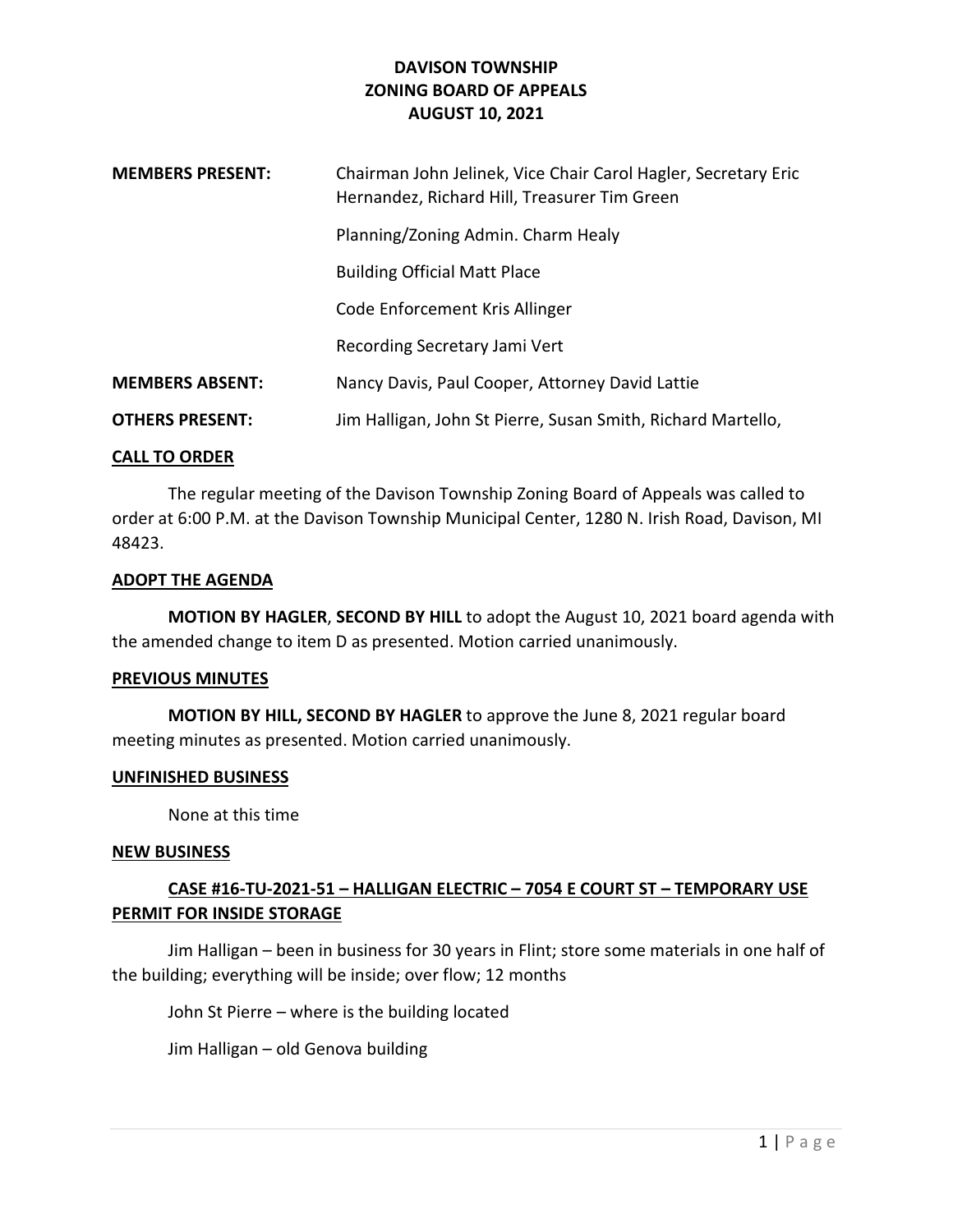| <b>MEMBERS PRESENT:</b> | Chairman John Jelinek, Vice Chair Carol Hagler, Secretary Eric<br>Hernandez, Richard Hill, Treasurer Tim Green |
|-------------------------|----------------------------------------------------------------------------------------------------------------|
|                         | Planning/Zoning Admin. Charm Healy                                                                             |
|                         | <b>Building Official Matt Place</b>                                                                            |
|                         | Code Enforcement Kris Allinger                                                                                 |
|                         | Recording Secretary Jami Vert                                                                                  |
| <b>MEMBERS ABSENT:</b>  | Nancy Davis, Paul Cooper, Attorney David Lattie                                                                |
| <b>OTHERS PRESENT:</b>  | Jim Halligan, John St Pierre, Susan Smith, Richard Martello,                                                   |

#### CALL TO ORDER

 The regular meeting of the Davison Township Zoning Board of Appeals was called to order at 6:00 P.M. at the Davison Township Municipal Center, 1280 N. Irish Road, Davison, MI 48423.

#### ADOPT THE AGENDA

 MOTION BY HAGLER, SECOND BY HILL to adopt the August 10, 2021 board agenda with the amended change to item D as presented. Motion carried unanimously.

#### PREVIOUS MINUTES

 MOTION BY HILL, SECOND BY HAGLER to approve the June 8, 2021 regular board meeting minutes as presented. Motion carried unanimously.

#### UNFINISHED BUSINESS

None at this time

#### NEW BUSINESS

# CASE #16-TU-2021-51 – HALLIGAN ELECTRIC – 7054 E COURT ST – TEMPORARY USE PERMIT FOR INSIDE STORAGE

 Jim Halligan – been in business for 30 years in Flint; store some materials in one half of the building; everything will be inside; over flow; 12 months

John St Pierre – where is the building located

Jim Halligan – old Genova building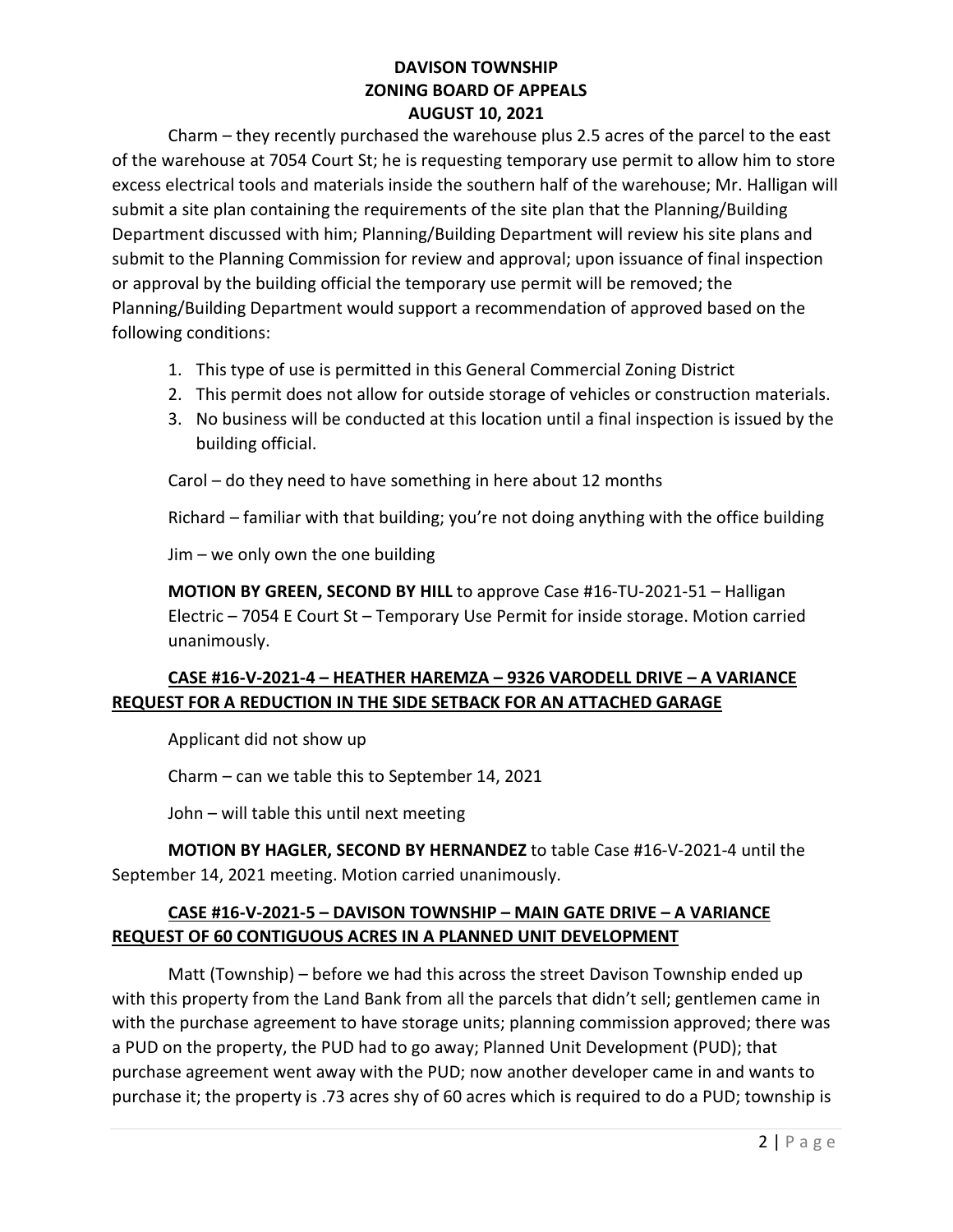Charm – they recently purchased the warehouse plus 2.5 acres of the parcel to the east of the warehouse at 7054 Court St; he is requesting temporary use permit to allow him to store excess electrical tools and materials inside the southern half of the warehouse; Mr. Halligan will submit a site plan containing the requirements of the site plan that the Planning/Building Department discussed with him; Planning/Building Department will review his site plans and submit to the Planning Commission for review and approval; upon issuance of final inspection or approval by the building official the temporary use permit will be removed; the Planning/Building Department would support a recommendation of approved based on the following conditions:

- 1. This type of use is permitted in this General Commercial Zoning District
- 2. This permit does not allow for outside storage of vehicles or construction materials.
- 3. No business will be conducted at this location until a final inspection is issued by the building official.

Carol – do they need to have something in here about 12 months

Richard – familiar with that building; you're not doing anything with the office building

Jim – we only own the one building

MOTION BY GREEN, SECOND BY HILL to approve Case #16-TU-2021-51 – Halligan Electric – 7054 E Court St – Temporary Use Permit for inside storage. Motion carried unanimously.

# CASE #16-V-2021-4 – HEATHER HAREMZA – 9326 VARODELL DRIVE – A VARIANCE REQUEST FOR A REDUCTION IN THE SIDE SETBACK FOR AN ATTACHED GARAGE

Applicant did not show up

Charm – can we table this to September 14, 2021

John – will table this until next meeting

MOTION BY HAGLER, SECOND BY HERNANDEZ to table Case #16-V-2021-4 until the September 14, 2021 meeting. Motion carried unanimously.

# CASE #16-V-2021-5 – DAVISON TOWNSHIP – MAIN GATE DRIVE – A VARIANCE REQUEST OF 60 CONTIGUOUS ACRES IN A PLANNED UNIT DEVELOPMENT

 Matt (Township) – before we had this across the street Davison Township ended up with this property from the Land Bank from all the parcels that didn't sell; gentlemen came in with the purchase agreement to have storage units; planning commission approved; there was a PUD on the property, the PUD had to go away; Planned Unit Development (PUD); that purchase agreement went away with the PUD; now another developer came in and wants to purchase it; the property is .73 acres shy of 60 acres which is required to do a PUD; township is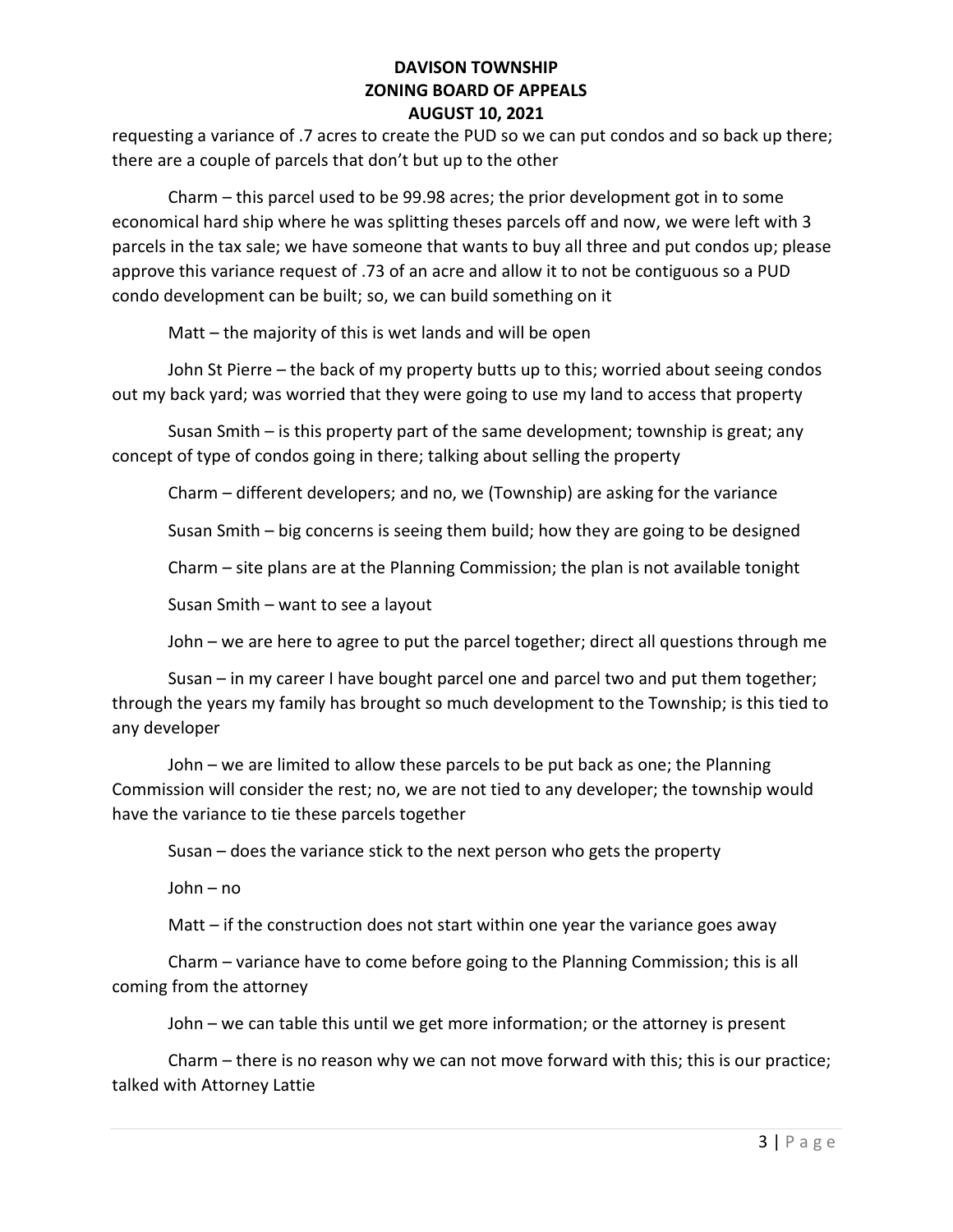requesting a variance of .7 acres to create the PUD so we can put condos and so back up there; there are a couple of parcels that don't but up to the other

 Charm – this parcel used to be 99.98 acres; the prior development got in to some economical hard ship where he was splitting theses parcels off and now, we were left with 3 parcels in the tax sale; we have someone that wants to buy all three and put condos up; please approve this variance request of .73 of an acre and allow it to not be contiguous so a PUD condo development can be built; so, we can build something on it

Matt – the majority of this is wet lands and will be open

 John St Pierre – the back of my property butts up to this; worried about seeing condos out my back yard; was worried that they were going to use my land to access that property

 Susan Smith – is this property part of the same development; township is great; any concept of type of condos going in there; talking about selling the property

Charm – different developers; and no, we (Township) are asking for the variance

Susan Smith – big concerns is seeing them build; how they are going to be designed

Charm – site plans are at the Planning Commission; the plan is not available tonight

Susan Smith – want to see a layout

John – we are here to agree to put the parcel together; direct all questions through me

 Susan – in my career I have bought parcel one and parcel two and put them together; through the years my family has brought so much development to the Township; is this tied to any developer

 John – we are limited to allow these parcels to be put back as one; the Planning Commission will consider the rest; no, we are not tied to any developer; the township would have the variance to tie these parcels together

Susan – does the variance stick to the next person who gets the property

John – no

Matt – if the construction does not start within one year the variance goes away

 Charm – variance have to come before going to the Planning Commission; this is all coming from the attorney

John – we can table this until we get more information; or the attorney is present

 Charm – there is no reason why we can not move forward with this; this is our practice; talked with Attorney Lattie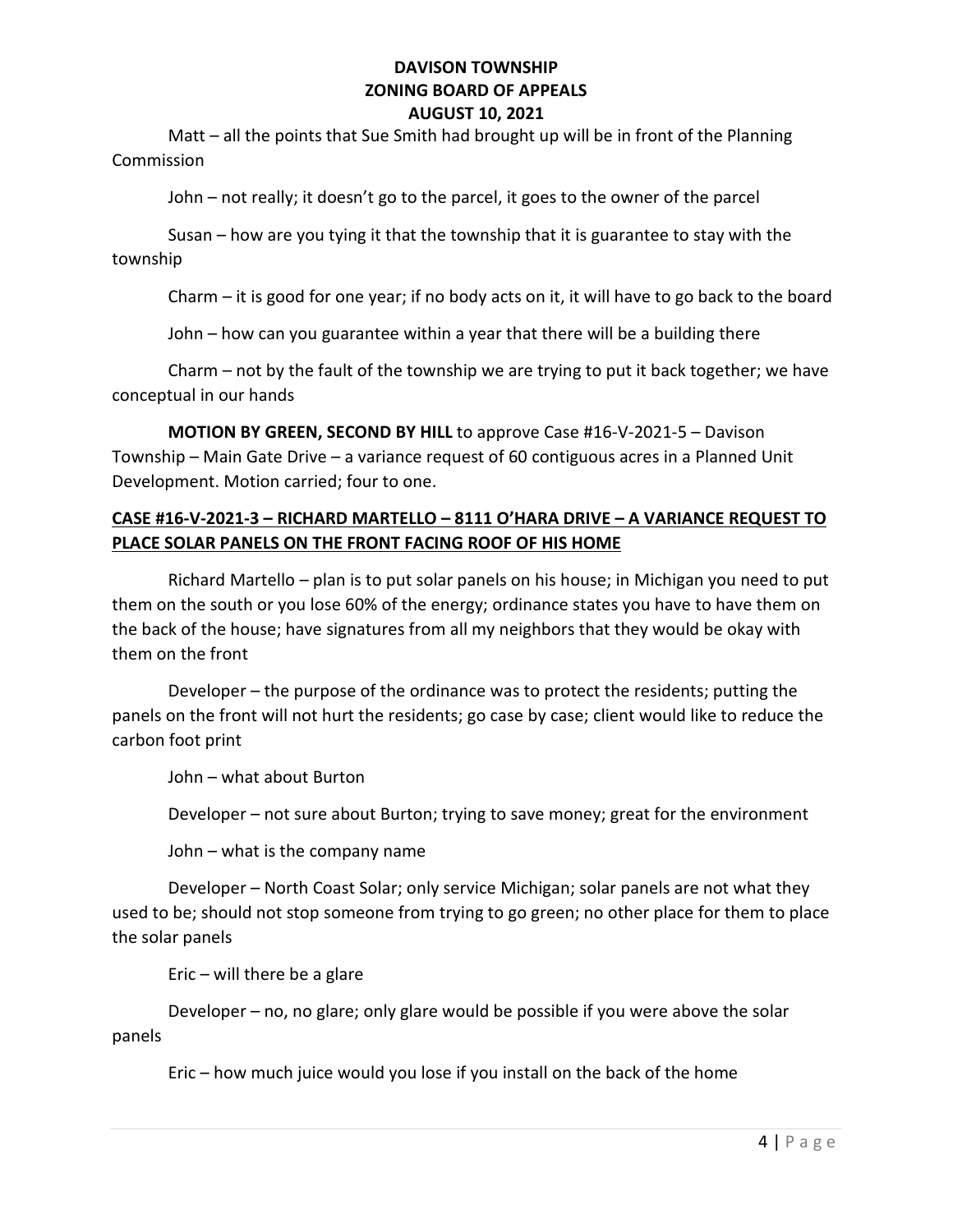Matt – all the points that Sue Smith had brought up will be in front of the Planning Commission

John – not really; it doesn't go to the parcel, it goes to the owner of the parcel

 Susan – how are you tying it that the township that it is guarantee to stay with the township

Charm – it is good for one year; if no body acts on it, it will have to go back to the board

John – how can you guarantee within a year that there will be a building there

 Charm – not by the fault of the township we are trying to put it back together; we have conceptual in our hands

MOTION BY GREEN, SECOND BY HILL to approve Case #16-V-2021-5 – Davison Township – Main Gate Drive – a variance request of 60 contiguous acres in a Planned Unit Development. Motion carried; four to one.

# CASE #16-V-2021-3 – RICHARD MARTELLO – 8111 O'HARA DRIVE – A VARIANCE REQUEST TO PLACE SOLAR PANELS ON THE FRONT FACING ROOF OF HIS HOME

 Richard Martello – plan is to put solar panels on his house; in Michigan you need to put them on the south or you lose 60% of the energy; ordinance states you have to have them on the back of the house; have signatures from all my neighbors that they would be okay with them on the front

 Developer – the purpose of the ordinance was to protect the residents; putting the panels on the front will not hurt the residents; go case by case; client would like to reduce the carbon foot print

John – what about Burton

Developer – not sure about Burton; trying to save money; great for the environment

John – what is the company name

 Developer – North Coast Solar; only service Michigan; solar panels are not what they used to be; should not stop someone from trying to go green; no other place for them to place the solar panels

 $E$ ric – will there be a glare

 Developer – no, no glare; only glare would be possible if you were above the solar panels

Eric – how much juice would you lose if you install on the back of the home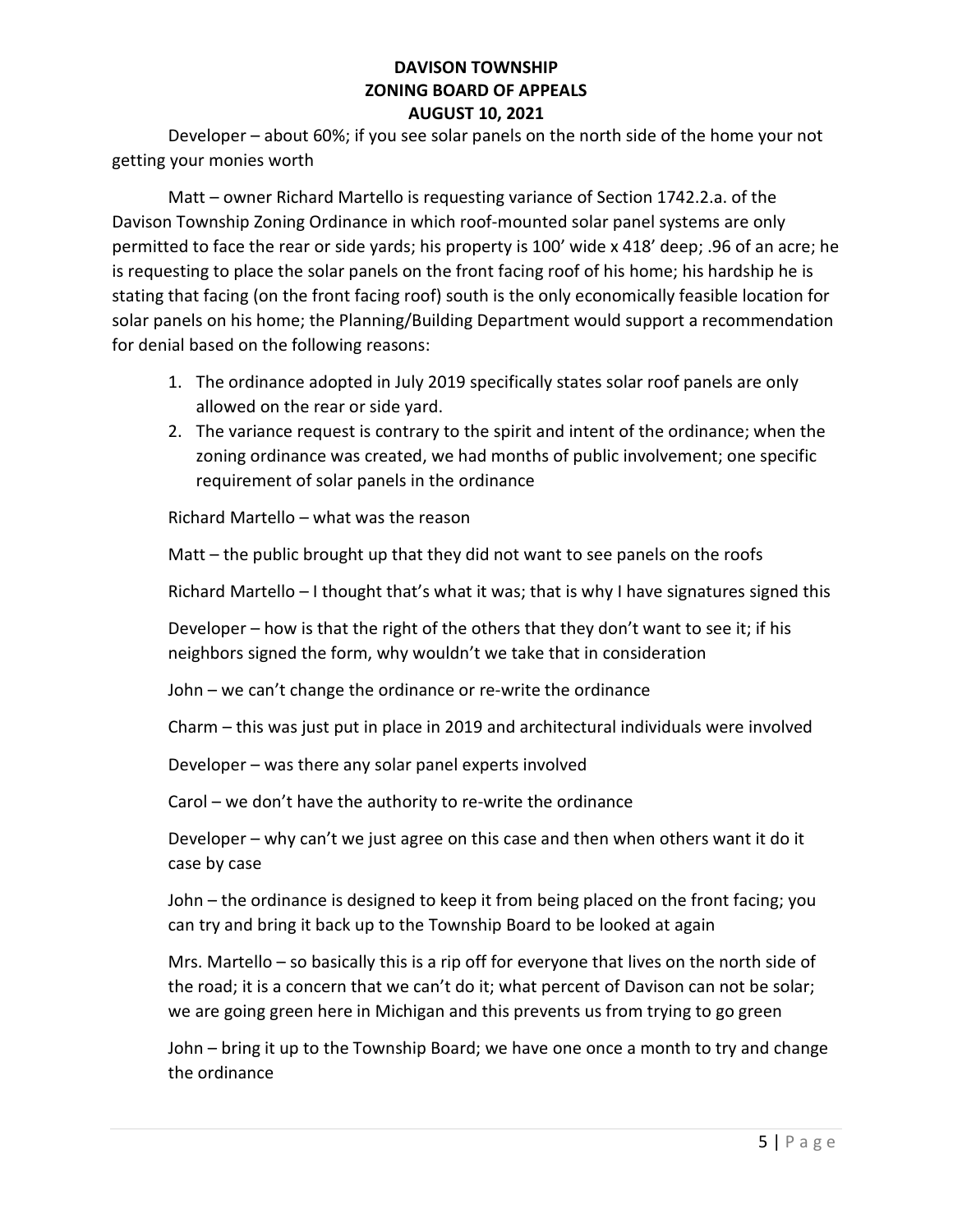Developer – about 60%; if you see solar panels on the north side of the home your not getting your monies worth

 Matt – owner Richard Martello is requesting variance of Section 1742.2.a. of the Davison Township Zoning Ordinance in which roof-mounted solar panel systems are only permitted to face the rear or side yards; his property is 100' wide x 418' deep; .96 of an acre; he is requesting to place the solar panels on the front facing roof of his home; his hardship he is stating that facing (on the front facing roof) south is the only economically feasible location for solar panels on his home; the Planning/Building Department would support a recommendation for denial based on the following reasons:

- 1. The ordinance adopted in July 2019 specifically states solar roof panels are only allowed on the rear or side yard.
- 2. The variance request is contrary to the spirit and intent of the ordinance; when the zoning ordinance was created, we had months of public involvement; one specific requirement of solar panels in the ordinance

Richard Martello – what was the reason

Matt – the public brought up that they did not want to see panels on the roofs

Richard Martello – I thought that's what it was; that is why I have signatures signed this

Developer – how is that the right of the others that they don't want to see it; if his neighbors signed the form, why wouldn't we take that in consideration

John – we can't change the ordinance or re-write the ordinance

Charm – this was just put in place in 2019 and architectural individuals were involved

Developer – was there any solar panel experts involved

Carol – we don't have the authority to re-write the ordinance

Developer – why can't we just agree on this case and then when others want it do it case by case

John – the ordinance is designed to keep it from being placed on the front facing; you can try and bring it back up to the Township Board to be looked at again

Mrs. Martello – so basically this is a rip off for everyone that lives on the north side of the road; it is a concern that we can't do it; what percent of Davison can not be solar; we are going green here in Michigan and this prevents us from trying to go green

John – bring it up to the Township Board; we have one once a month to try and change the ordinance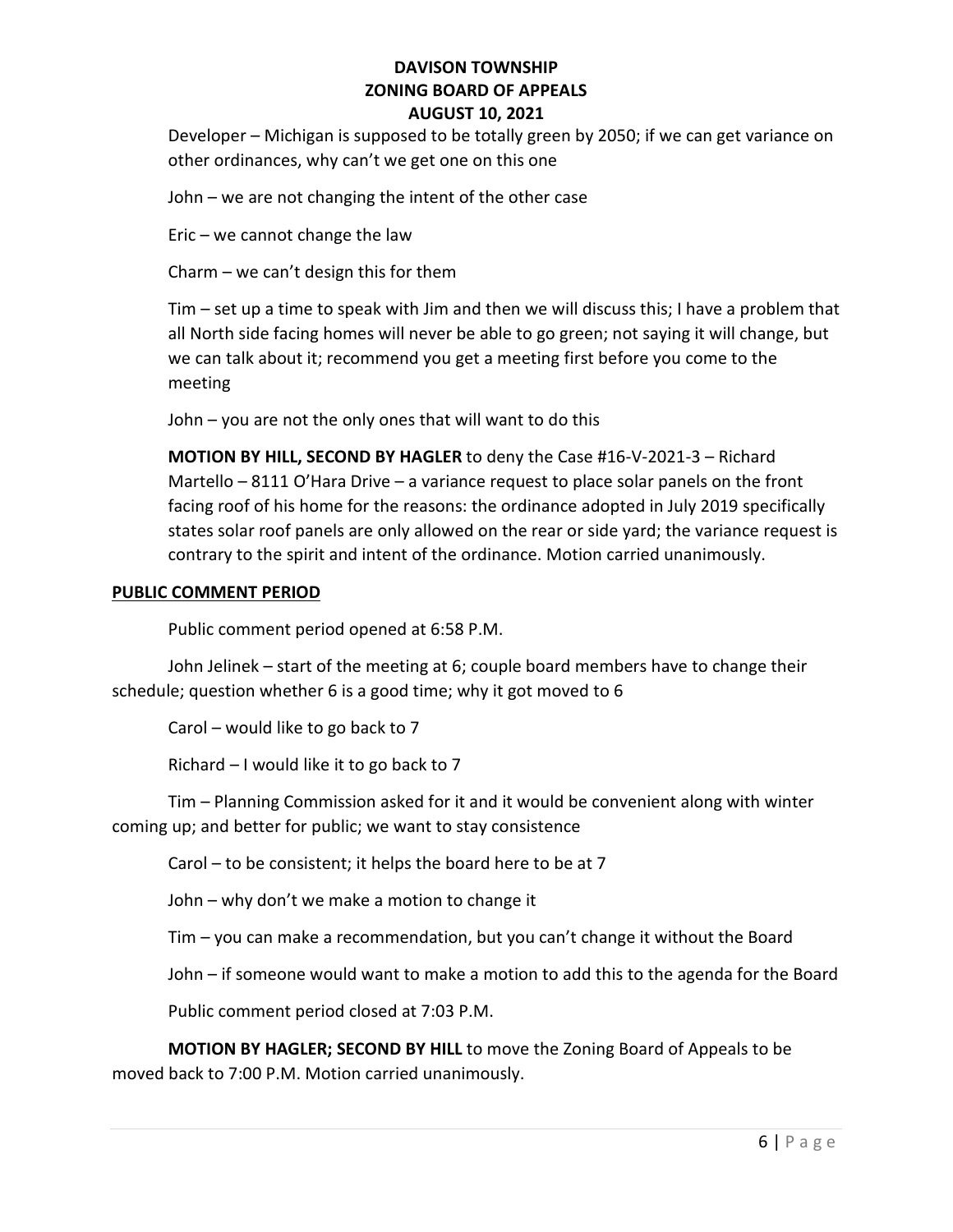Developer – Michigan is supposed to be totally green by 2050; if we can get variance on other ordinances, why can't we get one on this one

John – we are not changing the intent of the other case

Eric – we cannot change the law

Charm – we can't design this for them

Tim – set up a time to speak with Jim and then we will discuss this; I have a problem that all North side facing homes will never be able to go green; not saying it will change, but we can talk about it; recommend you get a meeting first before you come to the meeting

John – you are not the only ones that will want to do this

MOTION BY HILL, SECOND BY HAGLER to deny the Case #16-V-2021-3 – Richard Martello – 8111 O'Hara Drive – a variance request to place solar panels on the front facing roof of his home for the reasons: the ordinance adopted in July 2019 specifically states solar roof panels are only allowed on the rear or side yard; the variance request is contrary to the spirit and intent of the ordinance. Motion carried unanimously.

#### PUBLIC COMMENT PERIOD

Public comment period opened at 6:58 P.M.

John Jelinek – start of the meeting at 6; couple board members have to change their schedule; question whether 6 is a good time; why it got moved to 6

Carol – would like to go back to 7

Richard – I would like it to go back to 7

Tim – Planning Commission asked for it and it would be convenient along with winter coming up; and better for public; we want to stay consistence

Carol – to be consistent; it helps the board here to be at 7

John – why don't we make a motion to change it

Tim – you can make a recommendation, but you can't change it without the Board

John – if someone would want to make a motion to add this to the agenda for the Board

Public comment period closed at 7:03 P.M.

MOTION BY HAGLER; SECOND BY HILL to move the Zoning Board of Appeals to be moved back to 7:00 P.M. Motion carried unanimously.